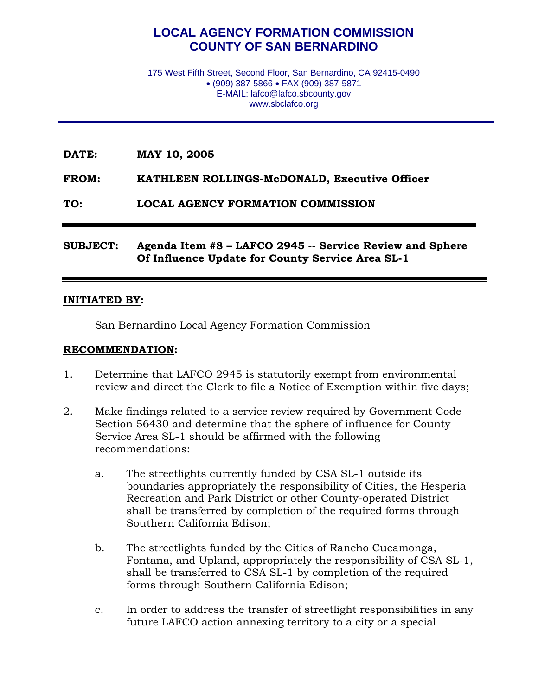# **LOCAL AGENCY FORMATION COMMISSION COUNTY OF SAN BERNARDINO**

175 West Fifth Street, Second Floor, San Bernardino, CA 92415-0490 • (909) 387-5866 • FAX (909) 387-5871 E-MAIL: lafco@lafco.sbcounty.gov www.sbclafco.org

**DATE: MAY 10, 2005** 

**FROM: KATHLEEN ROLLINGS-McDONALD, Executive Officer** 

**TO: LOCAL AGENCY FORMATION COMMISSION** 

#### **SUBJECT: Agenda Item #8 – LAFCO 2945 -- Service Review and Sphere Of Influence Update for County Service Area SL-1**

#### **INITIATED BY:**

San Bernardino Local Agency Formation Commission

#### **RECOMMENDATION:**

- 1. Determine that LAFCO 2945 is statutorily exempt from environmental review and direct the Clerk to file a Notice of Exemption within five days;
- 2. Make findings related to a service review required by Government Code Section 56430 and determine that the sphere of influence for County Service Area SL-1 should be affirmed with the following recommendations:
	- a. The streetlights currently funded by CSA SL-1 outside its boundaries appropriately the responsibility of Cities, the Hesperia Recreation and Park District or other County-operated District shall be transferred by completion of the required forms through Southern California Edison;
	- b. The streetlights funded by the Cities of Rancho Cucamonga, Fontana, and Upland, appropriately the responsibility of CSA SL-1, shall be transferred to CSA SL-1 by completion of the required forms through Southern California Edison;
	- c. In order to address the transfer of streetlight responsibilities in any future LAFCO action annexing territory to a city or a special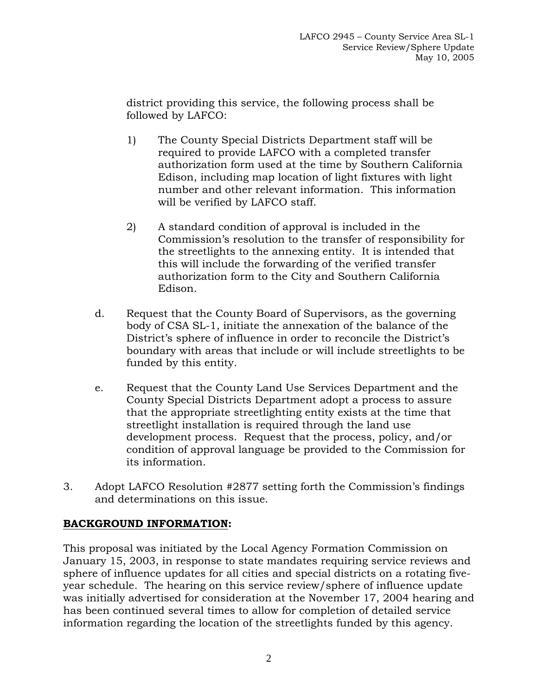district providing this service, the following process shall be followed by LAFCO:

- 1) The County Special Districts Department staff will be required to provide LAFCO with a completed transfer authorization form used at the time by Southern California Edison, including map location of light fixtures with light number and other relevant information. This information will be verified by LAFCO staff.
- 2) A standard condition of approval is included in the Commission's resolution to the transfer of responsibility for the streetlights to the annexing entity. It is intended that this will include the forwarding of the verified transfer authorization form to the City and Southern California Edison.
- d. Request that the County Board of Supervisors, as the governing body of CSA SL-1, initiate the annexation of the balance of the District's sphere of influence in order to reconcile the District's boundary with areas that include or will include streetlights to be funded by this entity.
- e. Request that the County Land Use Services Department and the County Special Districts Department adopt a process to assure that the appropriate streetlighting entity exists at the time that streetlight installation is required through the land use development process. Request that the process, policy, and/or condition of approval language be provided to the Commission for its information.
- 3. Adopt LAFCO Resolution #2877 setting forth the Commission's findings and determinations on this issue.

## **BACKGROUND INFORMATION:**

This proposal was initiated by the Local Agency Formation Commission on January 15, 2003, in response to state mandates requiring service reviews and sphere of influence updates for all cities and special districts on a rotating fiveyear schedule. The hearing on this service review/sphere of influence update was initially advertised for consideration at the November 17, 2004 hearing and has been continued several times to allow for completion of detailed service information regarding the location of the streetlights funded by this agency.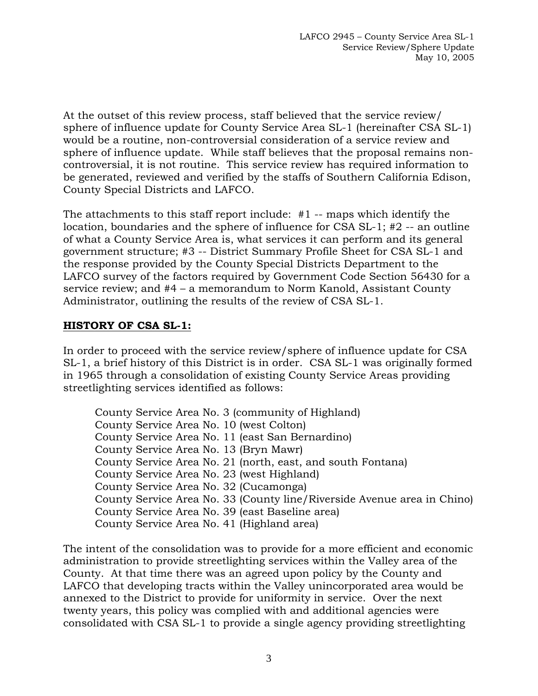At the outset of this review process, staff believed that the service review/ sphere of influence update for County Service Area SL-1 (hereinafter CSA SL-1) would be a routine, non-controversial consideration of a service review and sphere of influence update. While staff believes that the proposal remains noncontroversial, it is not routine. This service review has required information to be generated, reviewed and verified by the staffs of Southern California Edison, County Special Districts and LAFCO.

The attachments to this staff report include: #1 -- maps which identify the location, boundaries and the sphere of influence for CSA SL-1; #2 -- an outline of what a County Service Area is, what services it can perform and its general government structure; #3 -- District Summary Profile Sheet for CSA SL-1 and the response provided by the County Special Districts Department to the LAFCO survey of the factors required by Government Code Section 56430 for a service review; and #4 – a memorandum to Norm Kanold, Assistant County Administrator, outlining the results of the review of CSA SL-1.

## **HISTORY OF CSA SL-1:**

In order to proceed with the service review/sphere of influence update for CSA SL-1, a brief history of this District is in order. CSA SL-1 was originally formed in 1965 through a consolidation of existing County Service Areas providing streetlighting services identified as follows:

 County Service Area No. 3 (community of Highland) County Service Area No. 10 (west Colton) County Service Area No. 11 (east San Bernardino) County Service Area No. 13 (Bryn Mawr) County Service Area No. 21 (north, east, and south Fontana) County Service Area No. 23 (west Highland) County Service Area No. 32 (Cucamonga) County Service Area No. 33 (County line/Riverside Avenue area in Chino) County Service Area No. 39 (east Baseline area) County Service Area No. 41 (Highland area)

The intent of the consolidation was to provide for a more efficient and economic administration to provide streetlighting services within the Valley area of the County. At that time there was an agreed upon policy by the County and LAFCO that developing tracts within the Valley unincorporated area would be annexed to the District to provide for uniformity in service. Over the next twenty years, this policy was complied with and additional agencies were consolidated with CSA SL-1 to provide a single agency providing streetlighting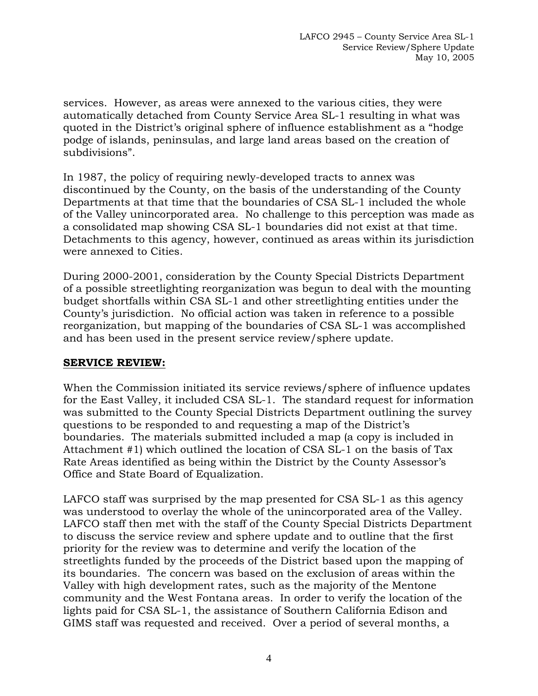services. However, as areas were annexed to the various cities, they were automatically detached from County Service Area SL-1 resulting in what was quoted in the District's original sphere of influence establishment as a "hodge podge of islands, peninsulas, and large land areas based on the creation of subdivisions".

In 1987, the policy of requiring newly-developed tracts to annex was discontinued by the County, on the basis of the understanding of the County Departments at that time that the boundaries of CSA SL-1 included the whole of the Valley unincorporated area. No challenge to this perception was made as a consolidated map showing CSA SL-1 boundaries did not exist at that time. Detachments to this agency, however, continued as areas within its jurisdiction were annexed to Cities.

During 2000-2001, consideration by the County Special Districts Department of a possible streetlighting reorganization was begun to deal with the mounting budget shortfalls within CSA SL-1 and other streetlighting entities under the County's jurisdiction. No official action was taken in reference to a possible reorganization, but mapping of the boundaries of CSA SL-1 was accomplished and has been used in the present service review/sphere update.

#### **SERVICE REVIEW:**

When the Commission initiated its service reviews/sphere of influence updates for the East Valley, it included CSA SL-1. The standard request for information was submitted to the County Special Districts Department outlining the survey questions to be responded to and requesting a map of the District's boundaries. The materials submitted included a map (a copy is included in Attachment #1) which outlined the location of CSA SL-1 on the basis of Tax Rate Areas identified as being within the District by the County Assessor's Office and State Board of Equalization.

LAFCO staff was surprised by the map presented for CSA SL-1 as this agency was understood to overlay the whole of the unincorporated area of the Valley. LAFCO staff then met with the staff of the County Special Districts Department to discuss the service review and sphere update and to outline that the first priority for the review was to determine and verify the location of the streetlights funded by the proceeds of the District based upon the mapping of its boundaries. The concern was based on the exclusion of areas within the Valley with high development rates, such as the majority of the Mentone community and the West Fontana areas. In order to verify the location of the lights paid for CSA SL-1, the assistance of Southern California Edison and GIMS staff was requested and received. Over a period of several months, a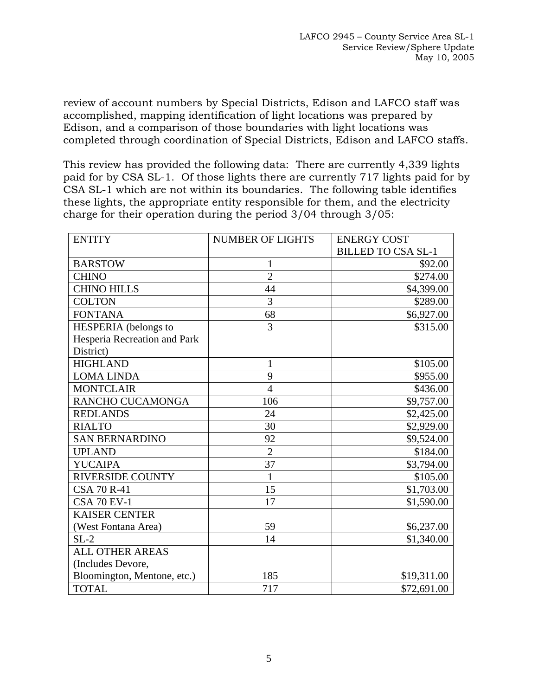review of account numbers by Special Districts, Edison and LAFCO staff was accomplished, mapping identification of light locations was prepared by Edison, and a comparison of those boundaries with light locations was completed through coordination of Special Districts, Edison and LAFCO staffs.

This review has provided the following data: There are currently 4,339 lights paid for by CSA SL-1. Of those lights there are currently 717 lights paid for by CSA SL-1 which are not within its boundaries. The following table identifies these lights, the appropriate entity responsible for them, and the electricity charge for their operation during the period 3/04 through 3/05:

| <b>ENTITY</b>                | <b>NUMBER OF LIGHTS</b> | <b>ENERGY COST</b>        |
|------------------------------|-------------------------|---------------------------|
|                              |                         | <b>BILLED TO CSA SL-1</b> |
| <b>BARSTOW</b>               | 1                       | \$92.00                   |
| <b>CHINO</b>                 | $\overline{2}$          | \$274.00                  |
| <b>CHINO HILLS</b>           | 44                      | \$4,399.00                |
| <b>COLTON</b>                | 3                       | \$289.00                  |
| <b>FONTANA</b>               | 68                      | \$6,927.00                |
| HESPERIA (belongs to         | 3                       | \$315.00                  |
| Hesperia Recreation and Park |                         |                           |
| District)                    |                         |                           |
| <b>HIGHLAND</b>              | $\mathbf{1}$            | \$105.00                  |
| <b>LOMA LINDA</b>            | 9                       | \$955.00                  |
| <b>MONTCLAIR</b>             | $\overline{4}$          | \$436.00                  |
| RANCHO CUCAMONGA             | 106                     | \$9,757.00                |
| <b>REDLANDS</b>              | 24                      | \$2,425.00                |
| <b>RIALTO</b>                | 30                      | \$2,929.00                |
| <b>SAN BERNARDINO</b>        | 92                      | \$9,524.00                |
| <b>UPLAND</b>                | $\overline{2}$          | \$184.00                  |
| <b>YUCAIPA</b>               | 37                      | \$3,794.00                |
| <b>RIVERSIDE COUNTY</b>      | 1                       | \$105.00                  |
| <b>CSA 70 R-41</b>           | 15                      | \$1,703.00                |
| <b>CSA 70 EV-1</b>           | 17                      | \$1,590.00                |
| <b>KAISER CENTER</b>         |                         |                           |
| (West Fontana Area)          | 59                      | \$6,237.00                |
| $SL-2$                       | 14                      | \$1,340.00                |
| <b>ALL OTHER AREAS</b>       |                         |                           |
| (Includes Devore,            |                         |                           |
| Bloomington, Mentone, etc.)  | 185                     | \$19,311.00               |
| <b>TOTAL</b>                 | 717                     | \$72,691.00               |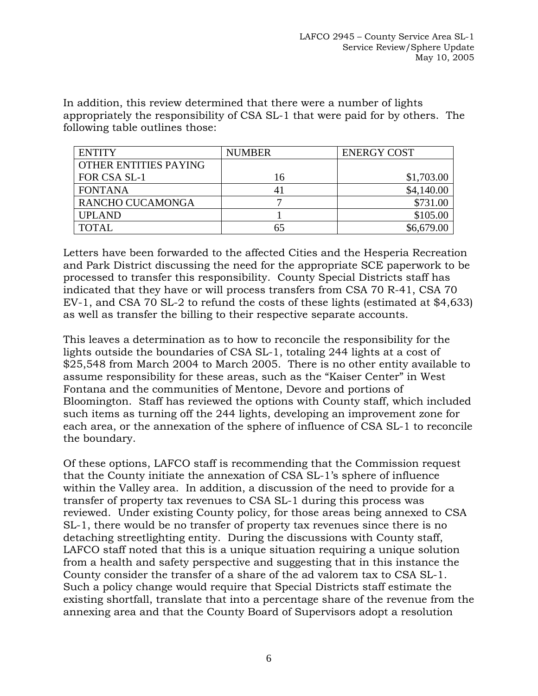In addition, this review determined that there were a number of lights appropriately the responsibility of CSA SL-1 that were paid for by others. The following table outlines those:

| <b>ENTITY</b>         | <b>NUMBER</b> | <b>ENERGY COST</b> |
|-----------------------|---------------|--------------------|
| OTHER ENTITIES PAYING |               |                    |
| FOR CSA SL-1          | 16            | \$1,703.00         |
| <b>FONTANA</b>        | 41            | \$4,140.00         |
| RANCHO CUCAMONGA      |               | \$731.00           |
| <b>UPLAND</b>         |               | \$105.00           |
| <b>TOTAL</b>          | 65            | \$6,679.00         |

Letters have been forwarded to the affected Cities and the Hesperia Recreation and Park District discussing the need for the appropriate SCE paperwork to be processed to transfer this responsibility. County Special Districts staff has indicated that they have or will process transfers from CSA 70 R-41, CSA 70 EV-1, and CSA 70 SL-2 to refund the costs of these lights (estimated at \$4,633) as well as transfer the billing to their respective separate accounts.

This leaves a determination as to how to reconcile the responsibility for the lights outside the boundaries of CSA SL-1, totaling 244 lights at a cost of \$25,548 from March 2004 to March 2005. There is no other entity available to assume responsibility for these areas, such as the "Kaiser Center" in West Fontana and the communities of Mentone, Devore and portions of Bloomington. Staff has reviewed the options with County staff, which included such items as turning off the 244 lights, developing an improvement zone for each area, or the annexation of the sphere of influence of CSA SL-1 to reconcile the boundary.

Of these options, LAFCO staff is recommending that the Commission request that the County initiate the annexation of CSA SL-1's sphere of influence within the Valley area. In addition, a discussion of the need to provide for a transfer of property tax revenues to CSA SL-1 during this process was reviewed. Under existing County policy, for those areas being annexed to CSA SL-1, there would be no transfer of property tax revenues since there is no detaching streetlighting entity. During the discussions with County staff, LAFCO staff noted that this is a unique situation requiring a unique solution from a health and safety perspective and suggesting that in this instance the County consider the transfer of a share of the ad valorem tax to CSA SL-1. Such a policy change would require that Special Districts staff estimate the existing shortfall, translate that into a percentage share of the revenue from the annexing area and that the County Board of Supervisors adopt a resolution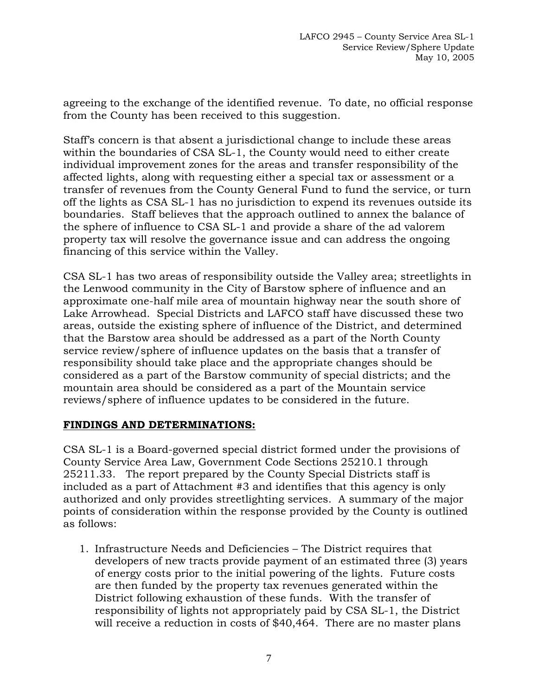agreeing to the exchange of the identified revenue. To date, no official response from the County has been received to this suggestion.

Staff's concern is that absent a jurisdictional change to include these areas within the boundaries of CSA SL-1, the County would need to either create individual improvement zones for the areas and transfer responsibility of the affected lights, along with requesting either a special tax or assessment or a transfer of revenues from the County General Fund to fund the service, or turn off the lights as CSA SL-1 has no jurisdiction to expend its revenues outside its boundaries. Staff believes that the approach outlined to annex the balance of the sphere of influence to CSA SL-1 and provide a share of the ad valorem property tax will resolve the governance issue and can address the ongoing financing of this service within the Valley.

CSA SL-1 has two areas of responsibility outside the Valley area; streetlights in the Lenwood community in the City of Barstow sphere of influence and an approximate one-half mile area of mountain highway near the south shore of Lake Arrowhead. Special Districts and LAFCO staff have discussed these two areas, outside the existing sphere of influence of the District, and determined that the Barstow area should be addressed as a part of the North County service review/sphere of influence updates on the basis that a transfer of responsibility should take place and the appropriate changes should be considered as a part of the Barstow community of special districts; and the mountain area should be considered as a part of the Mountain service reviews/sphere of influence updates to be considered in the future.

### **FINDINGS AND DETERMINATIONS:**

CSA SL-1 is a Board-governed special district formed under the provisions of County Service Area Law, Government Code Sections 25210.1 through 25211.33. The report prepared by the County Special Districts staff is included as a part of Attachment #3 and identifies that this agency is only authorized and only provides streetlighting services. A summary of the major points of consideration within the response provided by the County is outlined as follows:

1. Infrastructure Needs and Deficiencies – The District requires that developers of new tracts provide payment of an estimated three (3) years of energy costs prior to the initial powering of the lights. Future costs are then funded by the property tax revenues generated within the District following exhaustion of these funds. With the transfer of responsibility of lights not appropriately paid by CSA SL-1, the District will receive a reduction in costs of \$40,464. There are no master plans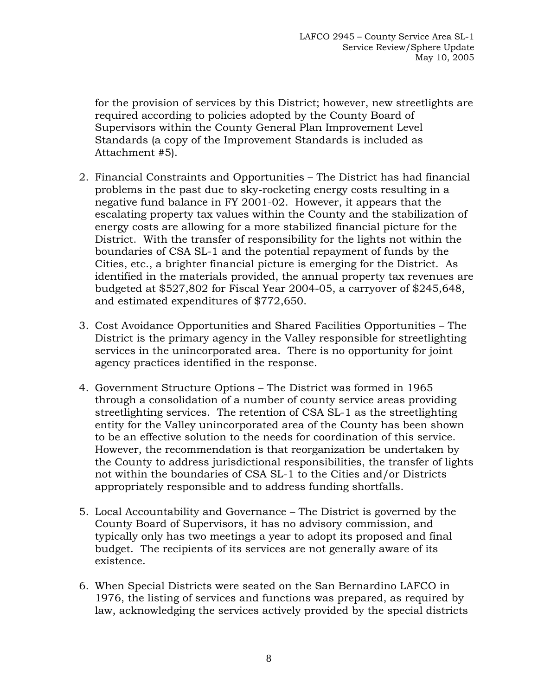for the provision of services by this District; however, new streetlights are required according to policies adopted by the County Board of Supervisors within the County General Plan Improvement Level Standards (a copy of the Improvement Standards is included as Attachment #5).

- 2. Financial Constraints and Opportunities The District has had financial problems in the past due to sky-rocketing energy costs resulting in a negative fund balance in FY 2001-02. However, it appears that the escalating property tax values within the County and the stabilization of energy costs are allowing for a more stabilized financial picture for the District. With the transfer of responsibility for the lights not within the boundaries of CSA SL-1 and the potential repayment of funds by the Cities, etc., a brighter financial picture is emerging for the District. As identified in the materials provided, the annual property tax revenues are budgeted at \$527,802 for Fiscal Year 2004-05, a carryover of \$245,648, and estimated expenditures of \$772,650.
- 3. Cost Avoidance Opportunities and Shared Facilities Opportunities The District is the primary agency in the Valley responsible for streetlighting services in the unincorporated area. There is no opportunity for joint agency practices identified in the response.
- 4. Government Structure Options The District was formed in 1965 through a consolidation of a number of county service areas providing streetlighting services. The retention of CSA SL-1 as the streetlighting entity for the Valley unincorporated area of the County has been shown to be an effective solution to the needs for coordination of this service. However, the recommendation is that reorganization be undertaken by the County to address jurisdictional responsibilities, the transfer of lights not within the boundaries of CSA SL-1 to the Cities and/or Districts appropriately responsible and to address funding shortfalls.
- 5. Local Accountability and Governance The District is governed by the County Board of Supervisors, it has no advisory commission, and typically only has two meetings a year to adopt its proposed and final budget. The recipients of its services are not generally aware of its existence.
- 6. When Special Districts were seated on the San Bernardino LAFCO in 1976, the listing of services and functions was prepared, as required by law, acknowledging the services actively provided by the special districts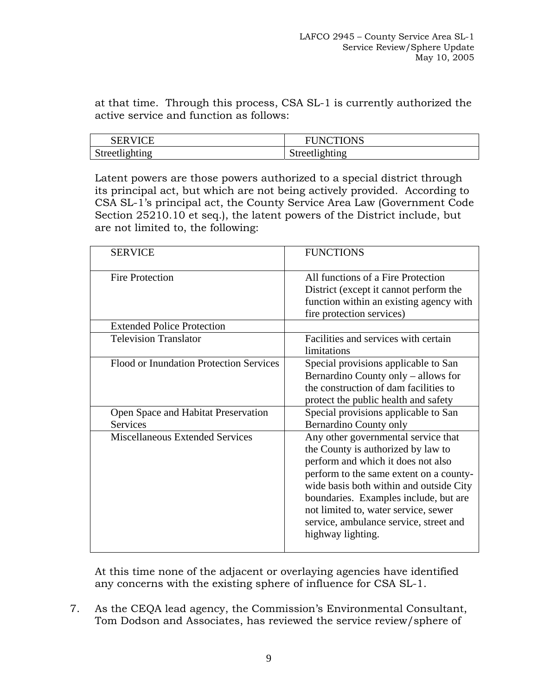at that time. Through this process, CSA SL-1 is currently authorized the active service and function as follows:

| <b>SERVICE</b> | NCTIONS<br>FUNC |
|----------------|-----------------|
| Streetlighting | Streetlighting  |

Latent powers are those powers authorized to a special district through its principal act, but which are not being actively provided. According to CSA SL-1's principal act, the County Service Area Law (Government Code Section 25210.10 et seq.), the latent powers of the District include, but are not limited to, the following:

| <b>SERVICE</b>                                         | <b>FUNCTIONS</b>                                                                                                                                                                                                                                                                                                                                      |
|--------------------------------------------------------|-------------------------------------------------------------------------------------------------------------------------------------------------------------------------------------------------------------------------------------------------------------------------------------------------------------------------------------------------------|
| <b>Fire Protection</b>                                 | All functions of a Fire Protection<br>District (except it cannot perform the<br>function within an existing agency with<br>fire protection services)                                                                                                                                                                                                  |
| <b>Extended Police Protection</b>                      |                                                                                                                                                                                                                                                                                                                                                       |
| <b>Television Translator</b>                           | Facilities and services with certain<br>limitations                                                                                                                                                                                                                                                                                                   |
| Flood or Inundation Protection Services                | Special provisions applicable to San<br>Bernardino County only – allows for<br>the construction of dam facilities to<br>protect the public health and safety                                                                                                                                                                                          |
| Open Space and Habitat Preservation<br><b>Services</b> | Special provisions applicable to San<br><b>Bernardino County only</b>                                                                                                                                                                                                                                                                                 |
| <b>Miscellaneous Extended Services</b>                 | Any other governmental service that<br>the County is authorized by law to<br>perform and which it does not also<br>perform to the same extent on a county-<br>wide basis both within and outside City<br>boundaries. Examples include, but are<br>not limited to, water service, sewer<br>service, ambulance service, street and<br>highway lighting. |

At this time none of the adjacent or overlaying agencies have identified any concerns with the existing sphere of influence for CSA SL-1.

 7. As the CEQA lead agency, the Commission's Environmental Consultant, Tom Dodson and Associates, has reviewed the service review/sphere of